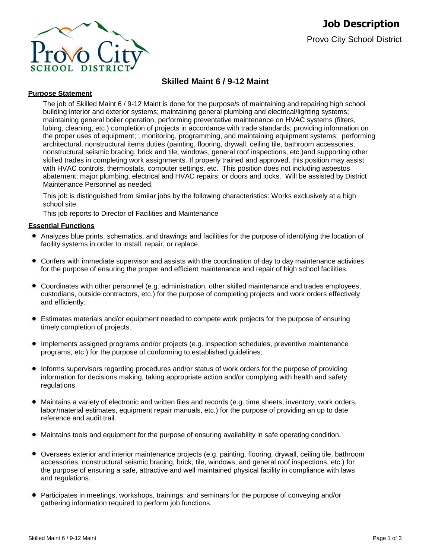

# **Skilled Maint 6 / 9-12 Maint**

### **Purpose Statement**

The job of Skilled Maint 6 / 9-12 Maint is done for the purpose/s of maintaining and repairing high school building interior and exterior systems; maintaining general plumbing and electrical/lighting systems; maintaining general boiler operation; performing preventative maintenance on HVAC systems (filters, lubing, cleaning, etc.) completion of projects in accordance with trade standards; providing information on the proper uses of equipment; ; monitoring, programming, and maintaining equipment systems; performing architectural, nonstructural items duties (painting, flooring, drywall, ceiling tile, bathroom accessories, nonstructural seismic bracing, brick and tile, windows, general roof inspections, etc.)and supporting other skilled trades in completing work assignments. If properly trained and approved, this position may assist with HVAC controls, thermostats, computer settings, etc. This position does not including asbestos abatement; major plumbing, electrical and HVAC repairs; or doors and locks. Will be assisted by District Maintenance Personnel as needed.

This job is distinguished from similar jobs by the following characteristics: Works exclusively at a high school site.

This job reports to Director of Facilities and Maintenance

### **Essential Functions**

- Analyzes blue prints, schematics, and drawings and facilities for the purpose of identifying the location of facility systems in order to install, repair, or replace.
- Confers with immediate supervisor and assists with the coordination of day to day maintenance activities for the purpose of ensuring the proper and efficient maintenance and repair of high school facilities.
- Coordinates with other personnel (e.g. administration, other skilled maintenance and trades employees, custodians, outside contractors, etc.) for the purpose of completing projects and work orders effectively and efficiently.
- Estimates materials and/or equipment needed to compete work projects for the purpose of ensuring timely completion of projects.
- Implements assigned programs and/or projects (e.g. inspection schedules, preventive maintenance programs, etc.) for the purpose of conforming to established guidelines.
- Informs supervisors regarding procedures and/or status of work orders for the purpose of providing information for decisions making, taking appropriate action and/or complying with health and safety regulations.
- Maintains a variety of electronic and written files and records (e.g. time sheets, inventory, work orders, labor/material estimates, equipment repair manuals, etc.) for the purpose of providing an up to date reference and audit trail.
- Maintains tools and equipment for the purpose of ensuring availability in safe operating condition.
- Oversees exterior and interior maintenance projects (e.g. painting, flooring, drywall, ceiling tile, bathroom accessories, nonstructural seismic bracing, brick, tile, windows, and general roof inspections, etc.) for the purpose of ensuring a safe, attractive and well maintained physical facility in compliance with laws and regulations.
- Participates in meetings, workshops, trainings, and seminars for the purpose of conveying and/or gathering information required to perform job functions.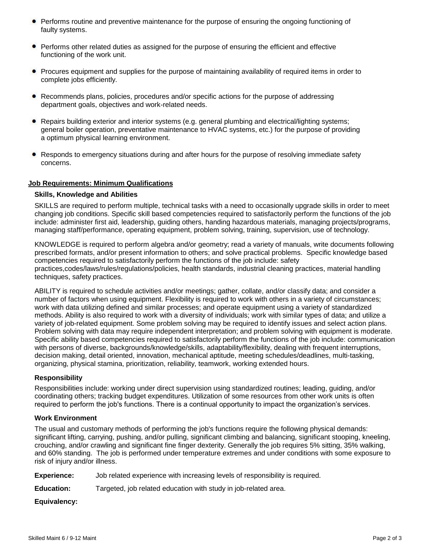- **Performs routine and preventive maintenance for the purpose of ensuring the ongoing functioning of** faulty systems.
- Performs other related duties as assigned for the purpose of ensuring the efficient and effective functioning of the work unit.
- $\bullet$ Procures equipment and supplies for the purpose of maintaining availability of required items in order to complete jobs efficiently.
- Recommends plans, policies, procedures and/or specific actions for the purpose of addressing department goals, objectives and work-related needs.
- Repairs building exterior and interior systems (e.g. general plumbing and electrical/lighting systems; general boiler operation, preventative maintenance to HVAC systems, etc.) for the purpose of providing a optimum physical learning environment.
- Responds to emergency situations during and after hours for the purpose of resolving immediate safety concerns.

### **Job Requirements: Minimum Qualifications**

### **Skills, Knowledge and Abilities**

SKILLS are required to perform multiple, technical tasks with a need to occasionally upgrade skills in order to meet changing job conditions. Specific skill based competencies required to satisfactorily perform the functions of the job include: administer first aid, leadership, guiding others, handing hazardous materials, managing projects/programs, managing staff/performance, operating equipment, problem solving, training, supervision, use of technology.

KNOWLEDGE is required to perform algebra and/or geometry; read a variety of manuals, write documents following prescribed formats, and/or present information to others; and solve practical problems. Specific knowledge based competencies required to satisfactorily perform the functions of the job include: safety practices,codes/laws/rules/regulations/policies, health standards, industrial cleaning practices, material handling techniques, safety practices.

ABILITY is required to schedule activities and/or meetings; gather, collate, and/or classify data; and consider a number of factors when using equipment. Flexibility is required to work with others in a variety of circumstances; work with data utilizing defined and similar processes; and operate equipment using a variety of standardized methods. Ability is also required to work with a diversity of individuals; work with similar types of data; and utilize a variety of job-related equipment. Some problem solving may be required to identify issues and select action plans. Problem solving with data may require independent interpretation; and problem solving with equipment is moderate. Specific ability based competencies required to satisfactorily perform the functions of the job include: communication with persons of diverse, backgrounds/knowledge/skills, adaptability/flexibility, dealing with frequent interruptions, decision making, detail oriented, innovation, mechanical aptitude, meeting schedules/deadlines, multi-tasking, organizing, physical stamina, prioritization, reliability, teamwork, working extended hours.

### **Responsibility**

Responsibilities include: working under direct supervision using standardized routines; leading, guiding, and/or coordinating others; tracking budget expenditures. Utilization of some resources from other work units is often required to perform the job's functions. There is a continual opportunity to impact the organization's services.

### **Work Environment**

The usual and customary methods of performing the job's functions require the following physical demands: significant lifting, carrying, pushing, and/or pulling, significant climbing and balancing, significant stooping, kneeling, crouching, and/or crawling and significant fine finger dexterity. Generally the job requires 5% sitting, 35% walking, and 60% standing. The job is performed under temperature extremes and under conditions with some exposure to risk of injury and/or illness.

**Experience:** Job related experience with increasing levels of responsibility is required.

**Education:** Targeted, job related education with study in job-related area.

**Equivalency:**